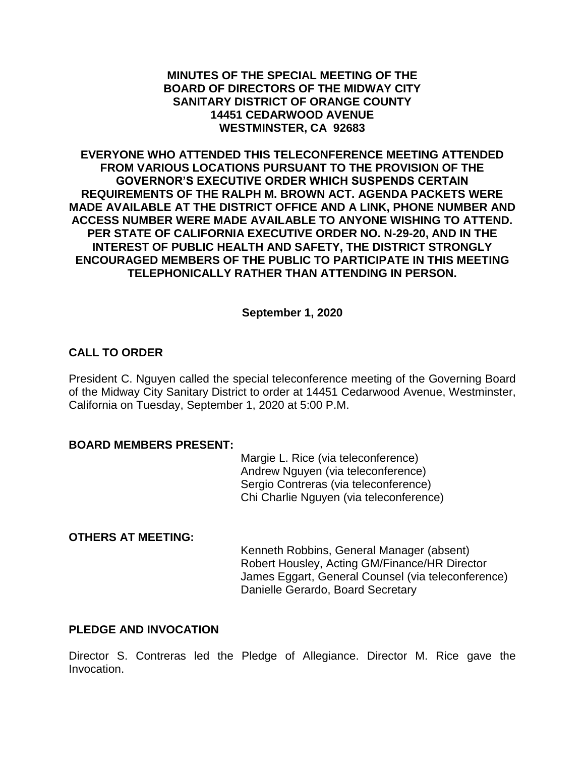## **MINUTES OF THE SPECIAL MEETING OF THE BOARD OF DIRECTORS OF THE MIDWAY CITY SANITARY DISTRICT OF ORANGE COUNTY 14451 CEDARWOOD AVENUE WESTMINSTER, CA 92683**

**EVERYONE WHO ATTENDED THIS TELECONFERENCE MEETING ATTENDED FROM VARIOUS LOCATIONS PURSUANT TO THE PROVISION OF THE GOVERNOR'S EXECUTIVE ORDER WHICH SUSPENDS CERTAIN REQUIREMENTS OF THE RALPH M. BROWN ACT. AGENDA PACKETS WERE MADE AVAILABLE AT THE DISTRICT OFFICE AND A LINK, PHONE NUMBER AND ACCESS NUMBER WERE MADE AVAILABLE TO ANYONE WISHING TO ATTEND. PER STATE OF CALIFORNIA EXECUTIVE ORDER NO. N-29-20, AND IN THE INTEREST OF PUBLIC HEALTH AND SAFETY, THE DISTRICT STRONGLY ENCOURAGED MEMBERS OF THE PUBLIC TO PARTICIPATE IN THIS MEETING TELEPHONICALLY RATHER THAN ATTENDING IN PERSON.**

**September 1, 2020**

# **CALL TO ORDER**

President C. Nguyen called the special teleconference meeting of the Governing Board of the Midway City Sanitary District to order at 14451 Cedarwood Avenue, Westminster, California on Tuesday, September 1, 2020 at 5:00 P.M.

#### **BOARD MEMBERS PRESENT:**

Margie L. Rice (via teleconference) Andrew Nguyen (via teleconference) Sergio Contreras (via teleconference) Chi Charlie Nguyen (via teleconference)

## **OTHERS AT MEETING:**

Kenneth Robbins, General Manager (absent) Robert Housley, Acting GM/Finance/HR Director James Eggart, General Counsel (via teleconference) Danielle Gerardo, Board Secretary

## **PLEDGE AND INVOCATION**

Director S. Contreras led the Pledge of Allegiance. Director M. Rice gave the Invocation.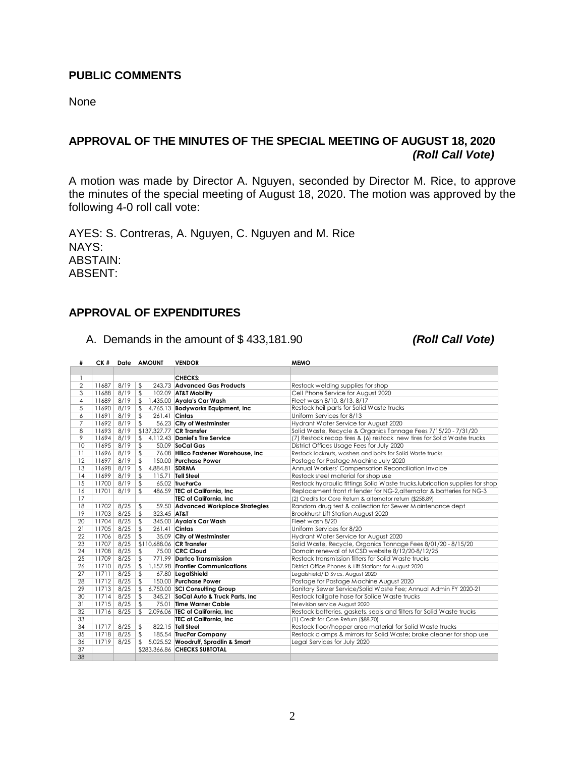#### **PUBLIC COMMENTS**

None

# **APPROVAL OF THE MINUTES OF THE SPECIAL MEETING OF AUGUST 18, 2020** *(Roll Call Vote)*

A motion was made by Director A. Nguyen, seconded by Director M. Rice, to approve the minutes of the special meeting of August 18, 2020. The motion was approved by the following 4-0 roll call vote:

AYES: S. Contreras, A. Nguyen, C. Nguyen and M. Rice NAYS: ABSTAIN: ABSENT:

### **APPROVAL OF EXPENDITURES**

A. Demands in the amount of \$ 433,181.90 *(Roll Call Vote)*

| #              | CK #  |      | Date AMOUNT                     | <b>VENDOR</b>                         | <b>MEMO</b>                                                                  |
|----------------|-------|------|---------------------------------|---------------------------------------|------------------------------------------------------------------------------|
|                |       |      |                                 |                                       |                                                                              |
| 1              |       |      |                                 | <b>CHECKS:</b>                        |                                                                              |
| $\overline{2}$ | 11687 | 8/19 | \$                              | 243.73 Advanced Gas Products          | Restock welding supplies for shop                                            |
| 3              | 11688 | 8/19 | $\mathfrak s$                   | 102.09 AT&T Mobility                  | Cell Phone Service for August 2020                                           |
| $\overline{4}$ | 11689 | 8/19 | $\sqrt{2}$                      | 1,435.00 Ayala's Car Wash             | Fleet wash 8/10, 8/13, 8/17                                                  |
| 5              | 11690 | 8/19 | \$                              | 4,765.13 Bodyworks Equipment, Inc.    | Restock heil parts for Solid Waste trucks                                    |
| 6              | 11691 | 8/19 | \$<br>261.41 Cintas             |                                       | Uniform Services for 8/13                                                    |
| 7              | 11692 | 8/19 | $\mathfrak{L}$                  | 56.23 City of Westminster             | Hydrant Water Service for August 2020                                        |
| 8              | 11693 | 8/19 | \$137,327.77 CR Transfer        |                                       | Solid Waste, Recycle & Organics Tonnage Fees 7/15/20 - 7/31/20               |
| 9              | 11694 | 8/19 | $\mathfrak{L}$                  | 4,112.43 Daniel's Tire Service        | (7) Restock recap tires & (6) restock new tires for Solid Waste trucks       |
| 10             | 11695 | 8/19 | \$                              | 50.09 SoCal Gas                       | District Offices Usage Fees for July 2020                                    |
| 11             | 11696 | 8/19 | \$                              | 76.08 Hillco Fastener Warehouse, Inc. | Restock locknuts, washers and bolts for Solid Waste trucks                   |
| 12             | 11697 | 8/19 | \$                              | 150.00 Purchase Power                 | Postage for Postage Machine July 2020                                        |
| 13             | 11698 | 8/19 | \$<br>4,884.81 SDRMA            |                                       | Annual Workers' Compensation Reconciliation Invoice                          |
| 14             | 11699 | 8/19 | \$                              | $115.71$ Tell Steel                   | Restock steel material for shop use                                          |
| 15             | 11700 | 8/19 | $\mathfrak{L}$                  | 65.02 TrucParCo                       | Restock hydraulic fittings Solid Waste trucks, lubrication supplies for shop |
| 16             | 11701 | 8/19 | \$                              | 486.59 TEC of California, Inc.        | Replacement front rt fender for NG-2, alternator & batteries for NG-3        |
| 17             |       |      |                                 | TEC of California, Inc.               | (2) Credits for Core Return & alternator return (\$258.89)                   |
| 18             | 11702 | 8/25 | \$                              | 59.50 Advanced Workplace Strategies   | Random drug test & collection for Sewer Maintenance dept                     |
| 19             | 11703 | 8/25 | $\mathfrak{L}$<br>323.45 AT&T   |                                       | Brookhurst Lift Station August 2020                                          |
| 20             | 11704 | 8/25 | \$                              | 345.00 Ayala's Car Wash               | Fleet wash 8/20                                                              |
| 21             | 11705 | 8/25 | $\mathfrak{L}$<br>261.41 Cintas |                                       | Uniform Services for 8/20                                                    |
| 22             | 11706 | 8/25 | \$                              | 35.09 City of Westminster             | Hydrant Water Service for August 2020                                        |
| 23             | 11707 | 8/25 | \$110,688.06 CR Transfer        |                                       | Solid Waste, Recycle, Organics Tonnage Fees 8/01/20 - 8/15/20                |
| 24             | 11708 | 8/25 | \$                              | 75.00 CRC Cloud                       | Domain renewal of MCSD website 8/12/20-8/12/25                               |
| 25             | 11709 | 8/25 | $\mathfrak{L}$                  | 771.99 Dartco Transmission            | Restock transmission filters for Solid Waste trucks                          |
| 26             | 11710 | 8/25 | \$                              | 1.157.98 Frontier Communications      | District Office Phones & Lift Stations for August 2020                       |
| 27             | 11711 | 8/25 | \$                              | 67.80 LegalShield                     | Legalshield/ID Svcs. August 2020                                             |
| 28             | 11712 | 8/25 | \$                              | 150.00 Purchase Power                 | Postage for Postage Machine August 2020                                      |
| 29             | 11713 | 8/25 | \$                              | 6,750.00 SCI Consulting Group         | Sanitary Sewer Service/Solid Waste Fee; Annual Admin FY 2020-21              |
| 30             | 11714 | 8/25 | $\frac{1}{2}$                   | 345.21 SoCal Auto & Truck Parts, Inc. | Restock tailgate hose for Solice Waste trucks                                |
| 31             | 11715 | 8/25 | \$                              | 75.01 Time Warner Cable               | Television service August 2020                                               |
| 32             | 11716 | 8/25 | $\mathfrak{L}$                  | 2,096.06 TEC of California, Inc       | Restock batteries, gaskets, seals and filters for Solid Waste trucks         |
| 33             |       |      |                                 | TEC of California, Inc.               | (1) Credit for Core Return (\$88.70)                                         |
| 34             | 11717 | 8/25 | $\sqrt{2}$                      | 822.15 Tell Steel                     | Restock floor/hopper area material for Solid Waste trucks                    |
| 35             | 11718 | 8/25 | \$                              | 185.54 TrucPar Company                | Restock clamps & mirrors for Solid Waste; brake cleaner for shop use         |
| 36             | 11719 | 8/25 | \$                              | 5,025.52 Woodruff, Spradlin & Smart   | Legal Services for July 2020                                                 |
| 37             |       |      |                                 | \$283.366.86 CHECKS SUBTOTAL          |                                                                              |
| 38             |       |      |                                 |                                       |                                                                              |
|                |       |      |                                 |                                       |                                                                              |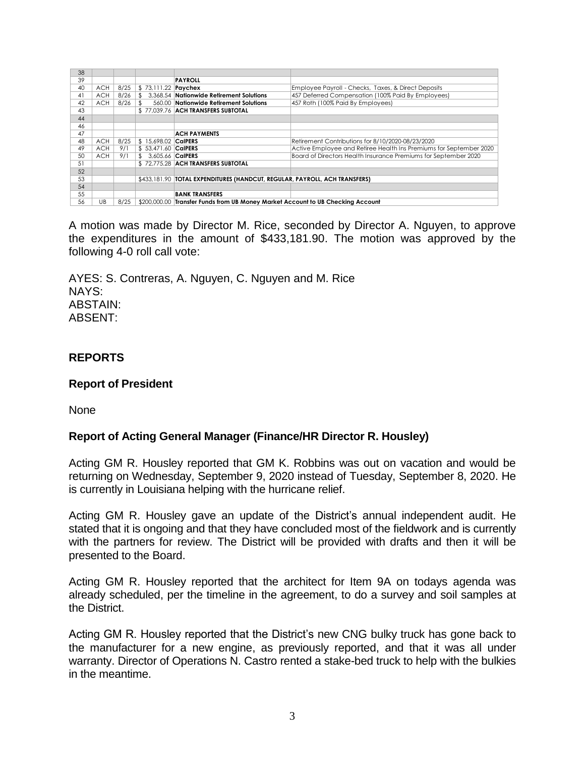| 38 |            |      |                      |                                                                                 |                                                                    |  |
|----|------------|------|----------------------|---------------------------------------------------------------------------------|--------------------------------------------------------------------|--|
| 39 |            |      |                      | <b>PAYROLL</b>                                                                  |                                                                    |  |
| 40 | <b>ACH</b> | 8/25 | \$73,111.22 Paychex  |                                                                                 | Employee Payroll - Checks, Taxes, & Direct Deposits                |  |
| 41 | <b>ACH</b> | 8/26 |                      | \$ 3.368.54 Nationwide Retirement Solutions                                     | 457 Deferred Compensation (100% Paid By Employees)                 |  |
| 42 | ACH        | 8/26 | $\mathbf{r}$         | 560.00 Nationwide Retirement Solutions                                          | 457 Roth (100% Paid By Employees)                                  |  |
| 43 |            |      |                      | \$77,039.76 ACH TRANSFERS SUBTOTAL                                              |                                                                    |  |
| 44 |            |      |                      |                                                                                 |                                                                    |  |
| 46 |            |      |                      |                                                                                 |                                                                    |  |
| 47 |            |      |                      | <b>ACH PAYMENTS</b>                                                             |                                                                    |  |
| 48 | <b>ACH</b> | 8/25 | \$ 15.698.02 CalPERS |                                                                                 | Retirement Contributions for 8/10/2020-08/23/2020                  |  |
| 49 | <b>ACH</b> | 9/1  | \$ 53.471.60 CalPERS |                                                                                 | Active Employee and Retiree Health Ins Premiums for September 2020 |  |
| 50 | <b>ACH</b> | 9/1  | \$ 3.605.66 CalPERS  |                                                                                 | Board of Directors Health Insurance Premiums for September 2020    |  |
| 51 |            |      |                      | \$72.775.28 ACH TRANSFERS SUBTOTAL                                              |                                                                    |  |
| 52 |            |      |                      |                                                                                 |                                                                    |  |
| 53 |            |      |                      | \$433,181.90   TOTAL EXPENDITURES (HANDCUT, REGULAR, PAYROLL, ACH TRANSFERS)    |                                                                    |  |
| 54 |            |      |                      |                                                                                 |                                                                    |  |
| 55 |            |      |                      | <b>BANK TRANSFERS</b>                                                           |                                                                    |  |
| 56 | UB         | 8/25 |                      |                                                                                 |                                                                    |  |
|    |            |      |                      |                                                                                 |                                                                    |  |
|    |            |      |                      | \$200,000.00 Transfer Funds from UB Money Market Account to UB Checking Account |                                                                    |  |

A motion was made by Director M. Rice, seconded by Director A. Nguyen, to approve the expenditures in the amount of \$433,181.90. The motion was approved by the following 4-0 roll call vote:

AYES: S. Contreras, A. Nguyen, C. Nguyen and M. Rice NAYS: ABSTAIN: ABSENT:

# **REPORTS**

#### **Report of President**

None

## **Report of Acting General Manager (Finance/HR Director R. Housley)**

Acting GM R. Housley reported that GM K. Robbins was out on vacation and would be returning on Wednesday, September 9, 2020 instead of Tuesday, September 8, 2020. He is currently in Louisiana helping with the hurricane relief.

Acting GM R. Housley gave an update of the District's annual independent audit. He stated that it is ongoing and that they have concluded most of the fieldwork and is currently with the partners for review. The District will be provided with drafts and then it will be presented to the Board.

Acting GM R. Housley reported that the architect for Item 9A on todays agenda was already scheduled, per the timeline in the agreement, to do a survey and soil samples at the District.

Acting GM R. Housley reported that the District's new CNG bulky truck has gone back to the manufacturer for a new engine, as previously reported, and that it was all under warranty. Director of Operations N. Castro rented a stake-bed truck to help with the bulkies in the meantime.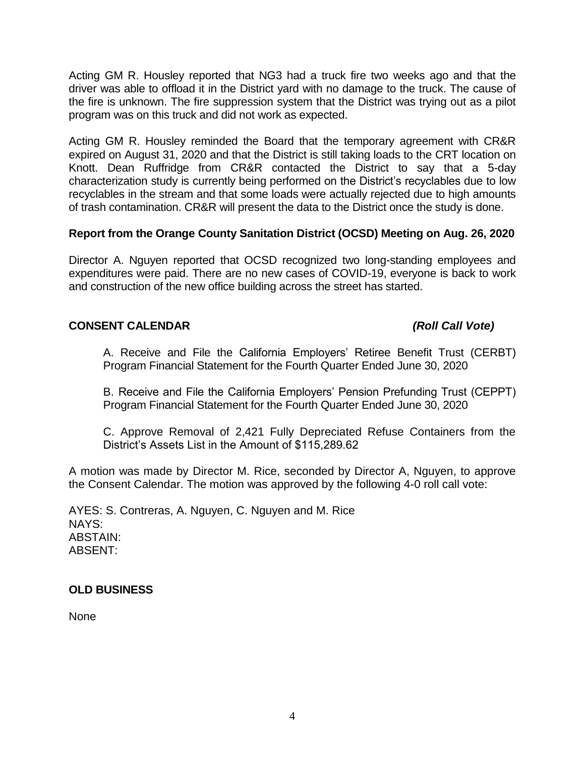Acting GM R. Housley reported that NG3 had a truck fire two weeks ago and that the driver was able to offload it in the District yard with no damage to the truck. The cause of the fire is unknown. The fire suppression system that the District was trying out as a pilot program was on this truck and did not work as expected.

Acting GM R. Housley reminded the Board that the temporary agreement with CR&R expired on August 31, 2020 and that the District is still taking loads to the CRT location on Knott. Dean Ruffridge from CR&R contacted the District to say that a 5-day characterization study is currently being performed on the District's recyclables due to low recyclables in the stream and that some loads were actually rejected due to high amounts of trash contamination. CR&R will present the data to the District once the study is done.

# **Report from the Orange County Sanitation District (OCSD) Meeting on Aug. 26, 2020**

Director A. Nguyen reported that OCSD recognized two long-standing employees and expenditures were paid. There are no new cases of COVID-19, everyone is back to work and construction of the new office building across the street has started.

## **CONSENT CALENDAR** *(Roll Call Vote)*

A. Receive and File the California Employers' Retiree Benefit Trust (CERBT) Program Financial Statement for the Fourth Quarter Ended June 30, 2020

B. Receive and File the California Employers' Pension Prefunding Trust (CEPPT) Program Financial Statement for the Fourth Quarter Ended June 30, 2020

C. Approve Removal of 2,421 Fully Depreciated Refuse Containers from the District's Assets List in the Amount of \$115,289.62

A motion was made by Director M. Rice, seconded by Director A, Nguyen, to approve the Consent Calendar. The motion was approved by the following 4-0 roll call vote:

AYES: S. Contreras, A. Nguyen, C. Nguyen and M. Rice NAYS: ABSTAIN: ABSENT:

## **OLD BUSINESS**

None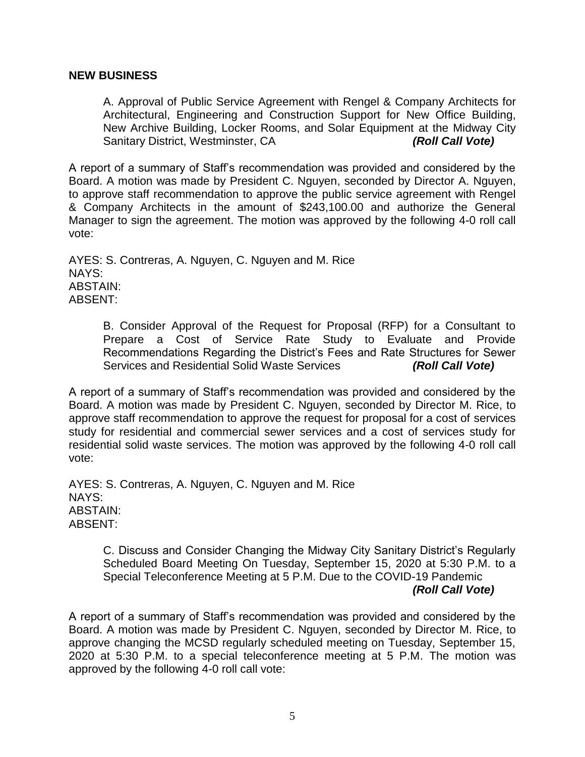#### **NEW BUSINESS**

A. Approval of Public Service Agreement with Rengel & Company Architects for Architectural, Engineering and Construction Support for New Office Building, New Archive Building, Locker Rooms, and Solar Equipment at the Midway City Sanitary District, Westminster, CA *(Roll Call Vote)*

A report of a summary of Staff's recommendation was provided and considered by the Board. A motion was made by President C. Nguyen, seconded by Director A. Nguyen, to approve staff recommendation to approve the public service agreement with Rengel & Company Architects in the amount of \$243,100.00 and authorize the General Manager to sign the agreement. The motion was approved by the following 4-0 roll call vote:

AYES: S. Contreras, A. Nguyen, C. Nguyen and M. Rice NAYS: ABSTAIN: ABSENT:

> B. Consider Approval of the Request for Proposal (RFP) for a Consultant to Prepare a Cost of Service Rate Study to Evaluate and Provide Recommendations Regarding the District's Fees and Rate Structures for Sewer Services and Residential Solid Waste Services *(Roll Call Vote)*

A report of a summary of Staff's recommendation was provided and considered by the Board. A motion was made by President C. Nguyen, seconded by Director M. Rice, to approve staff recommendation to approve the request for proposal for a cost of services study for residential and commercial sewer services and a cost of services study for residential solid waste services. The motion was approved by the following 4-0 roll call vote:

AYES: S. Contreras, A. Nguyen, C. Nguyen and M. Rice NAYS: ABSTAIN: ABSENT:

> C. Discuss and Consider Changing the Midway City Sanitary District's Regularly Scheduled Board Meeting On Tuesday, September 15, 2020 at 5:30 P.M. to a Special Teleconference Meeting at 5 P.M. Due to the COVID-19 Pandemic *(Roll Call Vote)*

A report of a summary of Staff's recommendation was provided and considered by the Board. A motion was made by President C. Nguyen, seconded by Director M. Rice, to approve changing the MCSD regularly scheduled meeting on Tuesday, September 15, 2020 at 5:30 P.M. to a special teleconference meeting at 5 P.M. The motion was approved by the following 4-0 roll call vote: